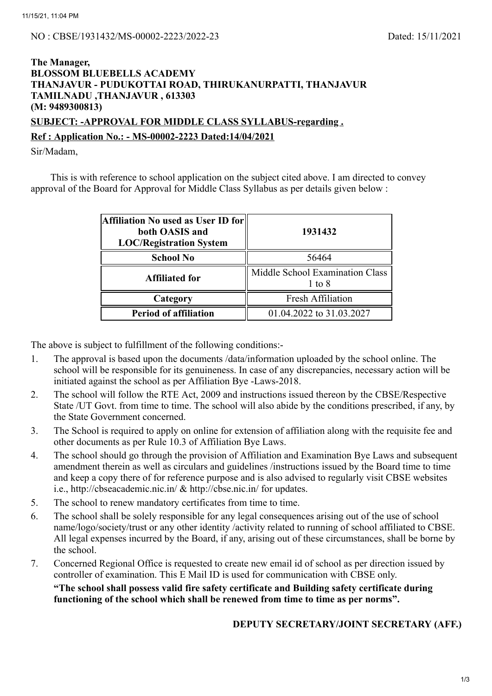## **The Manager, BLOSSOM BLUEBELLS ACADEMY THANJAVUR - PUDUKOTTAI ROAD, THIRUKANURPATTI, THANJAVUR TAMILNADU ,THANJAVUR , 613303 (M: 9489300813)**

**SUBJECT: -APPROVAL FOR MIDDLE CLASS SYLLABUS-regarding .**

## **Ref : Application No.: - MS-00002-2223 Dated:14/04/2021**

Sir/Madam,

This is with reference to school application on the subject cited above. I am directed to convey approval of the Board for Approval for Middle Class Syllabus as per details given below :

| Affiliation No used as User ID for<br>both OASIS and<br><b>LOC/Registration System</b> | 1931432<br>56464                          |  |  |
|----------------------------------------------------------------------------------------|-------------------------------------------|--|--|
| <b>School No</b>                                                                       |                                           |  |  |
| <b>Affiliated for</b>                                                                  | Middle School Examination Class<br>1 to 8 |  |  |
| Category                                                                               | <b>Fresh Affiliation</b>                  |  |  |
| <b>Period of affiliation</b>                                                           | 01.04.2022 to 31.03.2027                  |  |  |

The above is subject to fulfillment of the following conditions:-

- 1. The approval is based upon the documents /data/information uploaded by the school online. The school will be responsible for its genuineness. In case of any discrepancies, necessary action will be initiated against the school as per Affiliation Bye -Laws-2018.
- 2. The school will follow the RTE Act, 2009 and instructions issued thereon by the CBSE/Respective State /UT Govt. from time to time. The school will also abide by the conditions prescribed, if any, by the State Government concerned.
- 3. The School is required to apply on online for extension of affiliation along with the requisite fee and other documents as per Rule 10.3 of Affiliation Bye Laws.
- 4. The school should go through the provision of Affiliation and Examination Bye Laws and subsequent amendment therein as well as circulars and guidelines /instructions issued by the Board time to time and keep a copy there of for reference purpose and is also advised to regularly visit CBSE websites i.e., http://cbseacademic.nic.in/ & http://cbse.nic.in/ for updates.
- 5. The school to renew mandatory certificates from time to time.
- 6. The school shall be solely responsible for any legal consequences arising out of the use of school name/logo/society/trust or any other identity /activity related to running of school affiliated to CBSE. All legal expenses incurred by the Board, if any, arising out of these circumstances, shall be borne by the school.
- 7. Concerned Regional Office is requested to create new email id of school as per direction issued by controller of examination. This E Mail ID is used for communication with CBSE only.

**"The school shall possess valid fire safety certificate and Building safety certificate during functioning of the school which shall be renewed from time to time as per norms".**

**DEPUTY SECRETARY/JOINT SECRETARY (AFF.)**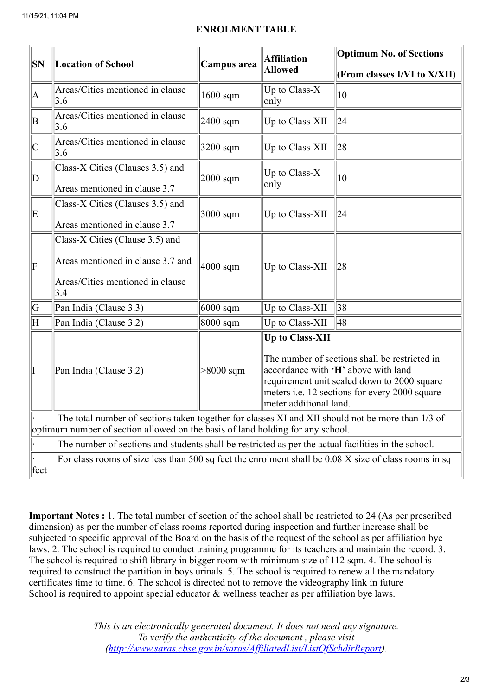## **ENROLMENT TABLE**

| SN                                                                                                                                                                                  | <b>Location of School</b>                                                                                       | Campus area          | <b>Affiliation</b><br><b>Allowed</b>                                                                                                                                                                                              | <b>Optimum No. of Sections</b> |  |  |
|-------------------------------------------------------------------------------------------------------------------------------------------------------------------------------------|-----------------------------------------------------------------------------------------------------------------|----------------------|-----------------------------------------------------------------------------------------------------------------------------------------------------------------------------------------------------------------------------------|--------------------------------|--|--|
|                                                                                                                                                                                     |                                                                                                                 |                      |                                                                                                                                                                                                                                   | (From classes I/VI to X/XII)   |  |  |
| A                                                                                                                                                                                   | Areas/Cities mentioned in clause<br>3.6                                                                         | $1600$ sqm           | Up to Class-X<br>only                                                                                                                                                                                                             | $ 10\rangle$                   |  |  |
| B                                                                                                                                                                                   | Areas/Cities mentioned in clause<br>3.6                                                                         | $2400$ sqm           | Up to Class-XII                                                                                                                                                                                                                   | 24                             |  |  |
| C                                                                                                                                                                                   | Areas/Cities mentioned in clause<br>3.6                                                                         | 3200 sqm             | Up to Class-XII                                                                                                                                                                                                                   | 28                             |  |  |
| D                                                                                                                                                                                   | Class-X Cities (Clauses 3.5) and<br>Areas mentioned in clause 3.7                                               | $2000$ sqm           | Up to Class-X<br>only                                                                                                                                                                                                             | $ 10\rangle$                   |  |  |
| ΙE                                                                                                                                                                                  | Class-X Cities (Clauses 3.5) and<br>Areas mentioned in clause 3.7                                               | $3000$ sqm           | Up to Class-XII                                                                                                                                                                                                                   | 24                             |  |  |
| $\vert$ F                                                                                                                                                                           | Class-X Cities (Clause 3.5) and<br>Areas mentioned in clause 3.7 and<br>Areas/Cities mentioned in clause<br>3.4 | $ 4000 \text{ sqm} $ | Up to Class-XII                                                                                                                                                                                                                   | 28                             |  |  |
| G                                                                                                                                                                                   | Pan India (Clause 3.3)                                                                                          | $6000$ sqm           | Up to Class-XII                                                                                                                                                                                                                   | 38                             |  |  |
| ΙH                                                                                                                                                                                  | Pan India (Clause 3.2)                                                                                          | $8000$ sqm           | Up to Class-XII                                                                                                                                                                                                                   | 48                             |  |  |
| I                                                                                                                                                                                   | Pan India (Clause 3.2)                                                                                          | $>8000$ sqm          | Up to Class-XII<br>The number of sections shall be restricted in<br>accordance with 'H' above with land<br>requirement unit scaled down to 2000 square<br>meters i.e. 12 sections for every 2000 square<br>meter additional land. |                                |  |  |
| The total number of sections taken together for classes XI and XII should not be more than 1/3 of<br>optimum number of section allowed on the basis of land holding for any school. |                                                                                                                 |                      |                                                                                                                                                                                                                                   |                                |  |  |
| The number of sections and students shall be restricted as per the actual facilities in the school.                                                                                 |                                                                                                                 |                      |                                                                                                                                                                                                                                   |                                |  |  |
| feet                                                                                                                                                                                | For class rooms of size less than 500 sq feet the enrolment shall be 0.08 X size of class rooms in sq           |                      |                                                                                                                                                                                                                                   |                                |  |  |

**Important Notes :** 1. The total number of section of the school shall be restricted to 24 (As per prescribed dimension) as per the number of class rooms reported during inspection and further increase shall be subjected to specific approval of the Board on the basis of the request of the school as per affiliation bye laws. 2. The school is required to conduct training programme for its teachers and maintain the record. 3. The school is required to shift library in bigger room with minimum size of 112 sqm. 4. The school is required to construct the partition in boys urinals. 5. The school is required to renew all the mandatory certificates time to time. 6. The school is directed not to remove the videography link in future School is required to appoint special educator & wellness teacher as per affiliation bye laws.

> *This is an electronically generated document. It does not need any signature. To verify the authenticity of the document , please visit [\(http://www.saras.cbse.gov.in/saras/AffiliatedList/ListOfSchdirReport\)](http://www.saras.cbse.gov.in/saras/AffiliatedList/ListOfSchdirReport).*